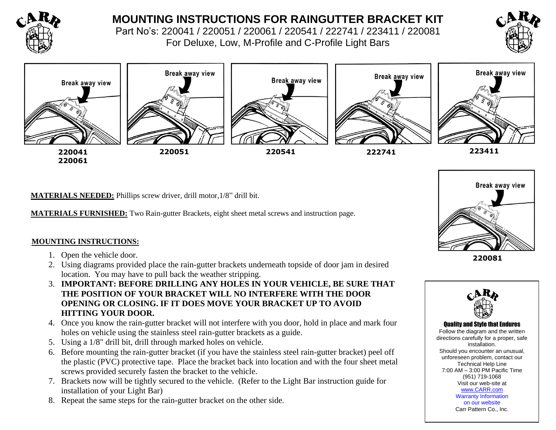

# **MOUNTING INSTRUCTIONS FOR RAINGUTTER BRACKET KIT**

Part No's: 220041 / 220051 / 220061 / 220541 / 222741 / 223411 / 220081 For Deluxe, Low, M-Profile and C-Profile Light Bars





**MATERIALS NEEDED:** Phillips screw driver, drill motor,1/8" drill bit.

**MATERIALS FURNISHED:** Two Rain-gutter Brackets, eight sheet metal screws and instruction page.

## **MOUNTING INSTRUCTIONS:**

- 1. Open the vehicle door.
- 2. Using diagrams provided place the rain-gutter brackets underneath topside of door jam in desired location. You may have to pull back the weather stripping.
- 3. **IMPORTANT: BEFORE DRILLING ANY HOLES IN YOUR VEHICLE, BE SURE THAT THE POSITION OF YOUR BRACKET WILL NO INTERFERE WITH THE DOOR OPENING OR CLOSING. IF IT DOES MOVE YOUR BRACKET UP TO AVOID HITTING YOUR DOOR.**
- 4. Once you know the rain-gutter bracket will not interfere with you door, hold in place and mark four holes on vehicle using the stainless steel rain-gutter brackets as a guide.
- 5. Using a 1/8" drill bit, drill through marked holes on vehicle.
- 6. Before mounting the rain-gutter bracket (if you have the stainless steel rain-gutter bracket) peel off the plastic (PVC) protective tape. Place the bracket back into location and with the four sheet metal screws provided securely fasten the bracket to the vehicle.
- 7. Brackets now will be tightly secured to the vehicle. (Refer to the Light Bar instruction guide for installation of your Light Bar)
- 8. Repeat the same steps for the rain-gutter bracket on the other side.



**220081**



#### Quality and Style that Endures

Follow the diagram and the written directions carefully for a proper, safe installation. Should you encounter an unusual, unforeseen problem, contact our Technical Help Line 7:00 AM – 3:00 PM Pacific Time (951) 719-1068 Visit our web-site at [www.CARR.com](http://www.carr.com/) Warranty Information on our website Carr Pattern Co., Inc.